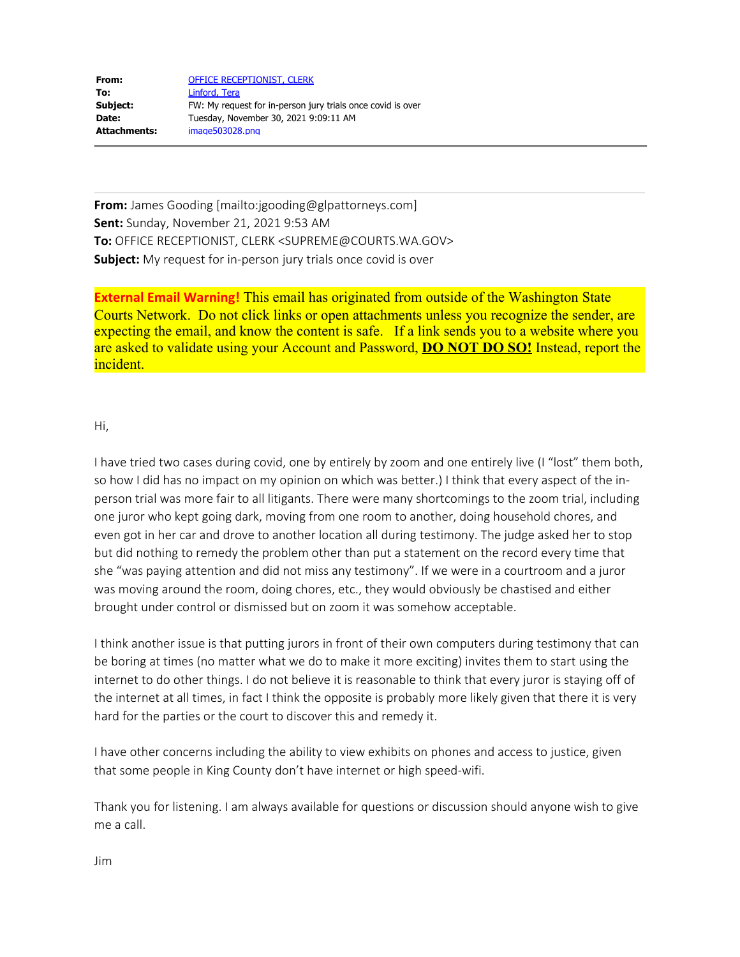| From:        | <b>OFFICE RECEPTIONIST, CLERK</b>                           |
|--------------|-------------------------------------------------------------|
| To:          | Linford, Tera                                               |
| Subject:     | FW: My request for in-person jury trials once covid is over |
| Date:        | Tuesday, November 30, 2021 9:09:11 AM                       |
| Attachments: | image503028.png                                             |

**From:** James Gooding [mailto:jgooding@glpattorneys.com] **Sent:** Sunday, November 21, 2021 9:53 AM **To:** OFFICE RECEPTIONIST, CLERK <SUPREME@COURTS.WA.GOV> **Subject:** My request for in-person jury trials once covid is over

**External Email Warning!** This email has originated from outside of the Washington State Courts Network. Do not click links or open attachments unless you recognize the sender, are expecting the email, and know the content is safe. If a link sends you to a website where you are asked to validate using your Account and Password, **DO NOT DO SO!** Instead, report the incident.

## Hi,

I have tried two cases during covid, one by entirely by zoom and one entirely live (I "lost" them both, so how I did has no impact on my opinion on which was better.) I think that every aspect of the inperson trial was more fair to all litigants. There were many shortcomings to the zoom trial, including one juror who kept going dark, moving from one room to another, doing household chores, and even got in her car and drove to another location all during testimony. The judge asked her to stop but did nothing to remedy the problem other than put a statement on the record every time that she "was paying attention and did not miss any testimony". If we were in a courtroom and a juror was moving around the room, doing chores, etc., they would obviously be chastised and either brought under control or dismissed but on zoom it was somehow acceptable.

I think another issue is that putting jurors in front of their own computers during testimony that can be boring at times (no matter what we do to make it more exciting) invites them to start using the internet to do other things. I do not believe it is reasonable to think that every juror is staying off of the internet at all times, in fact I think the opposite is probably more likely given that there it is very hard for the parties or the court to discover this and remedy it.

I have other concerns including the ability to view exhibits on phones and access to justice, given that some people in King County don't have internet or high speed-wifi.

Thank you for listening. I am always available for questions or discussion should anyone wish to give me a call.